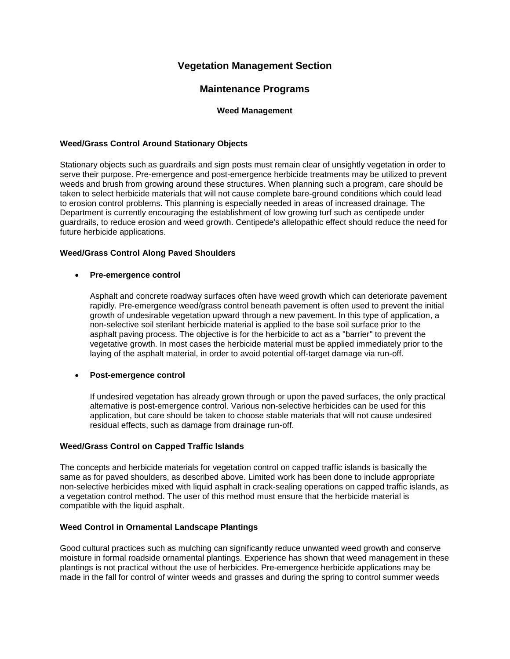# **Vegetation Management Section**

## **Maintenance Programs**

## **Weed Management**

## **Weed/Grass Control Around Stationary Objects**

Stationary objects such as guardrails and sign posts must remain clear of unsightly vegetation in order to serve their purpose. Pre-emergence and post-emergence herbicide treatments may be utilized to prevent weeds and brush from growing around these structures. When planning such a program, care should be taken to select herbicide materials that will not cause complete bare-ground conditions which could lead to erosion control problems. This planning is especially needed in areas of increased drainage. The Department is currently encouraging the establishment of low growing turf such as centipede under guardrails, to reduce erosion and weed growth. Centipede's allelopathic effect should reduce the need for future herbicide applications.

## **Weed/Grass Control Along Paved Shoulders**

### • **Pre-emergence control**

Asphalt and concrete roadway surfaces often have weed growth which can deteriorate pavement rapidly. Pre-emergence weed/grass control beneath pavement is often used to prevent the initial growth of undesirable vegetation upward through a new pavement. In this type of application, a non-selective soil sterilant herbicide material is applied to the base soil surface prior to the asphalt paving process. The objective is for the herbicide to act as a "barrier" to prevent the vegetative growth. In most cases the herbicide material must be applied immediately prior to the laying of the asphalt material, in order to avoid potential off-target damage via run-off.

### • **Post-emergence control**

If undesired vegetation has already grown through or upon the paved surfaces, the only practical alternative is post-emergence control. Various non-selective herbicides can be used for this application, but care should be taken to choose stable materials that will not cause undesired residual effects, such as damage from drainage run-off.

### **Weed/Grass Control on Capped Traffic Islands**

The concepts and herbicide materials for vegetation control on capped traffic islands is basically the same as for paved shoulders, as described above. Limited work has been done to include appropriate non-selective herbicides mixed with liquid asphalt in crack-sealing operations on capped traffic islands, as a vegetation control method. The user of this method must ensure that the herbicide material is compatible with the liquid asphalt.

### **Weed Control in Ornamental Landscape Plantings**

Good cultural practices such as mulching can significantly reduce unwanted weed growth and conserve moisture in formal roadside ornamental plantings. Experience has shown that weed management in these plantings is not practical without the use of herbicides. Pre-emergence herbicide applications may be made in the fall for control of winter weeds and grasses and during the spring to control summer weeds